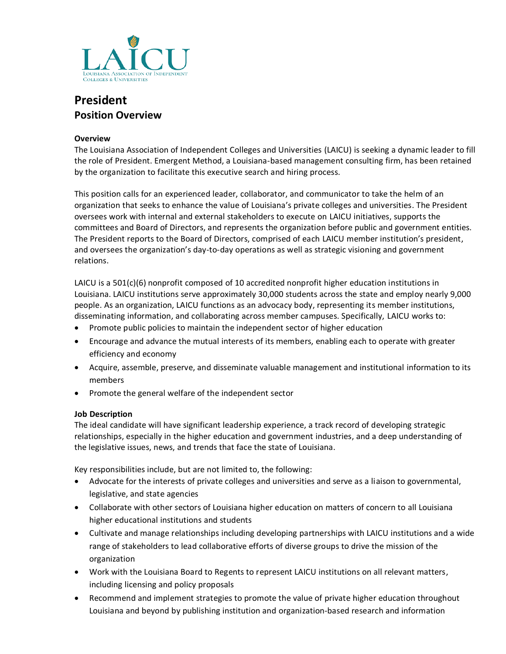

# **President Position Overview**

### **Overview**

The Louisiana Association of Independent Colleges and Universities (LAICU) is seeking a dynamic leader to fill the role of President. Emergent Method, a Louisiana-based management consulting firm, has been retained by the organization to facilitate this executive search and hiring process.

This position calls for an experienced leader, collaborator, and communicator to take the helm of an organization that seeks to enhance the value of Louisiana's private colleges and universities. The President oversees work with internal and external stakeholders to execute on LAICU initiatives, supports the committees and Board of Directors, and represents the organization before public and government entities. The President reports to the Board of Directors, comprised of each LAICU member institution's president, and oversees the organization's day-to-day operations as well as strategic visioning and government relations.

LAICU is a 501(c)(6) nonprofit composed of 10 accredited nonprofit higher education institutions in Louisiana. LAICU institutions serve approximately 30,000 students across the state and employ nearly 9,000 people. As an organization, LAICU functions as an advocacy body, representing its member institutions, disseminating information, and collaborating across member campuses. Specifically, LAICU works to:

- Promote public policies to maintain the independent sector of higher education
- Encourage and advance the mutual interests of its members, enabling each to operate with greater efficiency and economy
- Acquire, assemble, preserve, and disseminate valuable management and institutional information to its members
- Promote the general welfare of the independent sector

## **Job Description**

The ideal candidate will have significant leadership experience, a track record of developing strategic relationships, especially in the higher education and government industries, and a deep understanding of the legislative issues, news, and trends that face the state of Louisiana.

Key responsibilities include, but are not limited to, the following:

- Advocate for the interests of private colleges and universities and serve as a liaison to governmental, legislative, and state agencies
- Collaborate with other sectors of Louisiana higher education on matters of concern to all Louisiana higher educational institutions and students
- Cultivate and manage relationships including developing partnerships with LAICU institutions and a wide range of stakeholders to lead collaborative efforts of diverse groups to drive the mission of the organization
- Work with the Louisiana Board to Regents to represent LAICU institutions on all relevant matters, including licensing and policy proposals
- Recommend and implement strategies to promote the value of private higher education throughout Louisiana and beyond by publishing institution and organization-based research and information